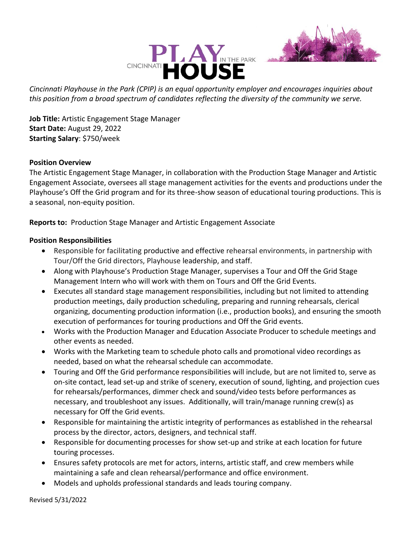



*Cincinnati Playhouse in the Park (CPIP) is an equal opportunity employer and encourages inquiries about this position from a broad spectrum of candidates reflecting the diversity of the community we serve.*

**Job Title:** Artistic Engagement Stage Manager **Start Date:** August 29, 2022 **Starting Salary**: \$750/week

### **Position Overview**

The Artistic Engagement Stage Manager, in collaboration with the Production Stage Manager and Artistic Engagement Associate, oversees all stage management activities for the events and productions under the Playhouse's Off the Grid program and for its three-show season of educational touring productions. This is a seasonal, non-equity position.

**Reports to:** Production Stage Manager and Artistic Engagement Associate

### **Position Responsibilities**

- Responsible for facilitating productive and effective rehearsal environments, in partnership with Tour/Off the Grid directors, Playhouse leadership, and staff.
- Along with Playhouse's Production Stage Manager, supervises a Tour and Off the Grid Stage Management Intern who will work with them on Tours and Off the Grid Events.
- Executes all standard stage management responsibilities, including but not limited to attending production meetings, daily production scheduling, preparing and running rehearsals, clerical organizing, documenting production information (i.e., production books), and ensuring the smooth execution of performances for touring productions and Off the Grid events.
- Works with the Production Manager and Education Associate Producer to schedule meetings and other events as needed.
- Works with the Marketing team to schedule photo calls and promotional video recordings as needed, based on what the rehearsal schedule can accommodate.
- Touring and Off the Grid performance responsibilities will include, but are not limited to, serve as on-site contact, lead set-up and strike of scenery, execution of sound, lighting, and projection cues for rehearsals/performances, dimmer check and sound/video tests before performances as necessary, and troubleshoot any issues. Additionally, will train/manage running crew(s) as necessary for Off the Grid events.
- Responsible for maintaining the artistic integrity of performances as established in the rehearsal process by the director, actors, designers, and technical staff.
- Responsible for documenting processes for show set-up and strike at each location for future touring processes.
- Ensures safety protocols are met for actors, interns, artistic staff, and crew members while maintaining a safe and clean rehearsal/performance and office environment.
- Models and upholds professional standards and leads touring company.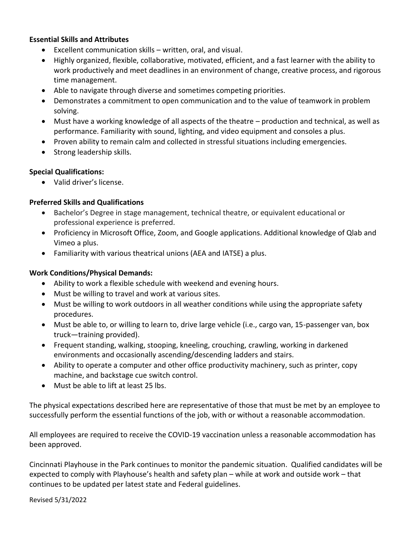### **Essential Skills and Attributes**

- Excellent communication skills written, oral, and visual.
- Highly organized, flexible, collaborative, motivated, efficient, and a fast learner with the ability to work productively and meet deadlines in an environment of change, creative process, and rigorous time management.
- Able to navigate through diverse and sometimes competing priorities.
- Demonstrates a commitment to open communication and to the value of teamwork in problem solving.
- Must have a working knowledge of all aspects of the theatre production and technical, as well as performance. Familiarity with sound, lighting, and video equipment and consoles a plus.
- Proven ability to remain calm and collected in stressful situations including emergencies.
- Strong leadership skills.

# **Special Qualifications:**

• Valid driver's license.

# **Preferred Skills and Qualifications**

- Bachelor's Degree in stage management, technical theatre, or equivalent educational or professional experience is preferred.
- Proficiency in Microsoft Office, Zoom, and Google applications. Additional knowledge of Qlab and Vimeo a plus.
- Familiarity with various theatrical unions (AEA and IATSE) a plus.

# **Work Conditions/Physical Demands:**

- Ability to work a flexible schedule with weekend and evening hours.
- Must be willing to travel and work at various sites.
- Must be willing to work outdoors in all weather conditions while using the appropriate safety procedures.
- Must be able to, or willing to learn to, drive large vehicle (i.e., cargo van, 15-passenger van, box truck—training provided).
- Frequent standing, walking, stooping, kneeling, crouching, crawling, working in darkened environments and occasionally ascending/descending ladders and stairs.
- Ability to operate a computer and other office productivity machinery, such as printer, copy machine, and backstage cue switch control.
- Must be able to lift at least 25 lbs.

The physical expectations described here are representative of those that must be met by an employee to successfully perform the essential functions of the job, with or without a reasonable accommodation.

All employees are required to receive the COVID-19 vaccination unless a reasonable accommodation has been approved.

Cincinnati Playhouse in the Park continues to monitor the pandemic situation. Qualified candidates will be expected to comply with Playhouse's health and safety plan – while at work and outside work – that continues to be updated per latest state and Federal guidelines.